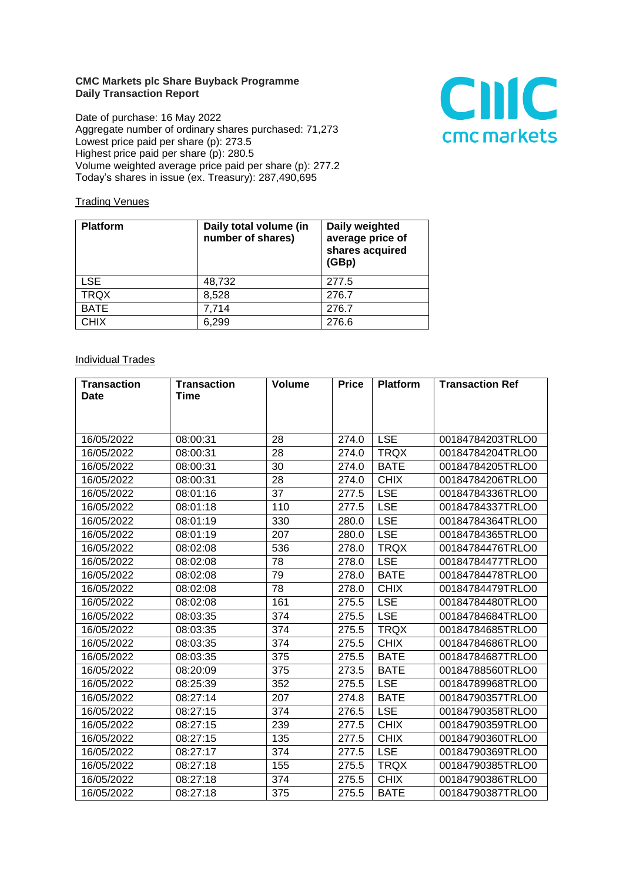## **CMC Markets plc Share Buyback Programme Daily Transaction Report**

Date of purchase: 16 May 2022 Aggregate number of ordinary shares purchased: 71,273 Lowest price paid per share (p): 273.5 Highest price paid per share (p): 280.5 Volume weighted average price paid per share (p): 277.2 Today's shares in issue (ex. Treasury): 287,490,695



## **Trading Venues**

| <b>Platform</b> | Daily total volume (in<br>number of shares) | Daily weighted<br>average price of<br>shares acquired<br>(GBp) |
|-----------------|---------------------------------------------|----------------------------------------------------------------|
| <b>LSE</b>      | 48,732                                      | 277.5                                                          |
| <b>TRQX</b>     | 8,528                                       | 276.7                                                          |
| <b>BATE</b>     | 7,714                                       | 276.7                                                          |
| <b>CHIX</b>     | 6,299                                       | 276.6                                                          |

## **Individual Trades**

| <b>Transaction</b> | <b>Transaction</b> | <b>Volume</b> | <b>Price</b> | <b>Platform</b> | <b>Transaction Ref</b> |
|--------------------|--------------------|---------------|--------------|-----------------|------------------------|
| <b>Date</b>        | <b>Time</b>        |               |              |                 |                        |
|                    |                    |               |              |                 |                        |
|                    |                    |               |              |                 |                        |
| 16/05/2022         | 08:00:31           | 28            | 274.0        | <b>LSE</b>      | 00184784203TRLO0       |
| 16/05/2022         | 08:00:31           | 28            | 274.0        | <b>TRQX</b>     | 00184784204TRLO0       |
| 16/05/2022         | 08:00:31           | 30            | 274.0        | <b>BATE</b>     | 00184784205TRLO0       |
| 16/05/2022         | 08:00:31           | 28            | 274.0        | <b>CHIX</b>     | 00184784206TRLO0       |
| 16/05/2022         | 08:01:16           | 37            | 277.5        | <b>LSE</b>      | 00184784336TRLO0       |
| 16/05/2022         | 08:01:18           | 110           | 277.5        | <b>LSE</b>      | 00184784337TRLO0       |
| 16/05/2022         | 08:01:19           | 330           | 280.0        | <b>LSE</b>      | 00184784364TRLO0       |
| 16/05/2022         | 08:01:19           | 207           | 280.0        | <b>LSE</b>      | 00184784365TRLO0       |
| 16/05/2022         | 08:02:08           | 536           | 278.0        | <b>TRQX</b>     | 00184784476TRLO0       |
| 16/05/2022         | 08:02:08           | 78            | 278.0        | <b>LSE</b>      | 00184784477TRLO0       |
| 16/05/2022         | 08:02:08           | 79            | 278.0        | <b>BATE</b>     | 00184784478TRLO0       |
| 16/05/2022         | 08:02:08           | 78            | 278.0        | <b>CHIX</b>     | 00184784479TRLO0       |
| 16/05/2022         | 08:02:08           | 161           | 275.5        | <b>LSE</b>      | 00184784480TRLO0       |
| 16/05/2022         | 08:03:35           | 374           | 275.5        | <b>LSE</b>      | 00184784684TRLO0       |
| 16/05/2022         | 08:03:35           | 374           | 275.5        | <b>TRQX</b>     | 00184784685TRLO0       |
| 16/05/2022         | 08:03:35           | 374           | 275.5        | <b>CHIX</b>     | 00184784686TRLO0       |
| 16/05/2022         | 08:03:35           | 375           | 275.5        | <b>BATE</b>     | 00184784687TRLO0       |
| 16/05/2022         | 08:20:09           | 375           | 273.5        | <b>BATE</b>     | 00184788560TRLO0       |
| 16/05/2022         | 08:25:39           | 352           | 275.5        | <b>LSE</b>      | 00184789968TRLO0       |
| 16/05/2022         | 08:27:14           | 207           | 274.8        | <b>BATE</b>     | 00184790357TRLO0       |
| 16/05/2022         | 08:27:15           | 374           | 276.5        | <b>LSE</b>      | 00184790358TRLO0       |
| 16/05/2022         | 08:27:15           | 239           | 277.5        | <b>CHIX</b>     | 00184790359TRLO0       |
| 16/05/2022         | 08:27:15           | 135           | 277.5        | <b>CHIX</b>     | 00184790360TRLO0       |
| 16/05/2022         | 08:27:17           | 374           | 277.5        | <b>LSE</b>      | 00184790369TRLO0       |
| 16/05/2022         | 08:27:18           | 155           | 275.5        | <b>TRQX</b>     | 00184790385TRLO0       |
| 16/05/2022         | 08:27:18           | 374           | 275.5        | <b>CHIX</b>     | 00184790386TRLO0       |
| 16/05/2022         | 08:27:18           | 375           | 275.5        | <b>BATE</b>     | 00184790387TRLO0       |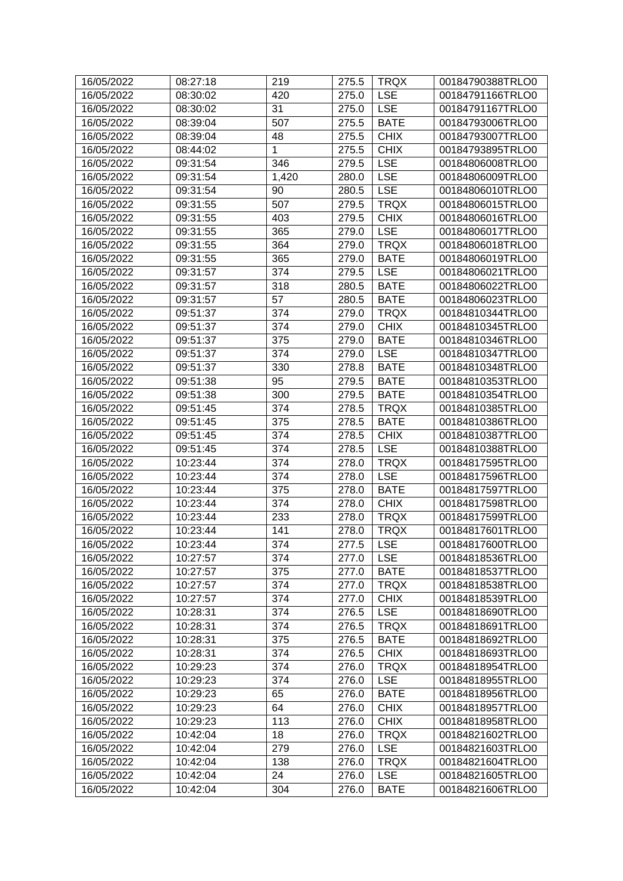| 16/05/2022 | 08:27:18             | 219   | 275.5 | <b>TRQX</b> | 00184790388TRLO0 |
|------------|----------------------|-------|-------|-------------|------------------|
| 16/05/2022 | 08:30:02             | 420   | 275.0 | <b>LSE</b>  | 00184791166TRLO0 |
| 16/05/2022 | 08:30:02             | 31    | 275.0 | <b>LSE</b>  | 00184791167TRLO0 |
| 16/05/2022 | 08:39:04             | 507   | 275.5 | <b>BATE</b> | 00184793006TRLO0 |
| 16/05/2022 | 08:39:04             | 48    | 275.5 | <b>CHIX</b> | 00184793007TRLO0 |
| 16/05/2022 | 08:44:02             | 1     | 275.5 | <b>CHIX</b> | 00184793895TRLO0 |
| 16/05/2022 | 09:31:54             | 346   | 279.5 | <b>LSE</b>  | 00184806008TRLO0 |
| 16/05/2022 | 09:31:54             | 1,420 | 280.0 | <b>LSE</b>  | 00184806009TRLO0 |
| 16/05/2022 | 09:31:54             | 90    | 280.5 | <b>LSE</b>  | 00184806010TRLO0 |
| 16/05/2022 | 09:31:55             | 507   | 279.5 | <b>TRQX</b> | 00184806015TRLO0 |
| 16/05/2022 | 09:31:55             | 403   | 279.5 | <b>CHIX</b> | 00184806016TRLO0 |
| 16/05/2022 | 09:31:55             | 365   | 279.0 | <b>LSE</b>  | 00184806017TRLO0 |
| 16/05/2022 | 09:31:55             | 364   | 279.0 | <b>TRQX</b> | 00184806018TRLO0 |
| 16/05/2022 | 09:31:55             | 365   | 279.0 | <b>BATE</b> | 00184806019TRLO0 |
| 16/05/2022 | 09:31:57             | 374   | 279.5 | <b>LSE</b>  | 00184806021TRLO0 |
| 16/05/2022 | 09:31:57             | 318   | 280.5 | <b>BATE</b> | 00184806022TRLO0 |
| 16/05/2022 | 09:31:57             | 57    | 280.5 | <b>BATE</b> | 00184806023TRLO0 |
| 16/05/2022 | 09:51:37             | 374   | 279.0 | <b>TRQX</b> | 00184810344TRLO0 |
| 16/05/2022 | 09:51:37             | 374   | 279.0 | <b>CHIX</b> | 00184810345TRLO0 |
| 16/05/2022 | 09:51:37             | 375   | 279.0 | <b>BATE</b> | 00184810346TRLO0 |
| 16/05/2022 | 09:51:37             | 374   | 279.0 | <b>LSE</b>  | 00184810347TRLO0 |
| 16/05/2022 | 09:51:37             | 330   | 278.8 | <b>BATE</b> | 00184810348TRLO0 |
| 16/05/2022 | 09:51:38             | 95    | 279.5 | <b>BATE</b> | 00184810353TRLO0 |
| 16/05/2022 | 09:51:38             | 300   | 279.5 | <b>BATE</b> | 00184810354TRLO0 |
| 16/05/2022 | 09:51:45             | 374   | 278.5 | <b>TRQX</b> | 00184810385TRLO0 |
| 16/05/2022 | 09:51:45             | 375   | 278.5 | <b>BATE</b> | 00184810386TRLO0 |
| 16/05/2022 | 09:51:45             | 374   | 278.5 | <b>CHIX</b> | 00184810387TRLO0 |
| 16/05/2022 | 09:51:45             | 374   | 278.5 | <b>LSE</b>  | 00184810388TRLO0 |
| 16/05/2022 | 10:23:44             | 374   | 278.0 | <b>TRQX</b> | 00184817595TRLO0 |
| 16/05/2022 | 10:23:44             | 374   | 278.0 | <b>LSE</b>  | 00184817596TRLO0 |
| 16/05/2022 | 10:23:44             | 375   | 278.0 | <b>BATE</b> | 00184817597TRLO0 |
| 16/05/2022 | 10:23:44             | 374   | 278.0 | <b>CHIX</b> | 00184817598TRLO0 |
| 16/05/2022 | 10:23:44             | 233   | 278.0 | <b>TRQX</b> | 00184817599TRLO0 |
| 16/05/2022 | 10:23:44             | 141   | 278.0 | <b>TRQX</b> | 00184817601TRLO0 |
| 16/05/2022 | 10:23:44             | 374   | 277.5 | <b>LSE</b>  | 00184817600TRLO0 |
| 16/05/2022 | 10:27:57             | 374   | 277.0 | <b>LSE</b>  | 00184818536TRLO0 |
| 16/05/2022 | 10:27:57             | 375   | 277.0 | <b>BATE</b> | 00184818537TRLO0 |
| 16/05/2022 | 10:27:57             | 374   | 277.0 | <b>TRQX</b> | 00184818538TRLO0 |
| 16/05/2022 | 10:27:57             | 374   | 277.0 | <b>CHIX</b> | 00184818539TRLO0 |
| 16/05/2022 | 10:28:31             | 374   | 276.5 | <b>LSE</b>  | 00184818690TRLO0 |
| 16/05/2022 | 10:28:31             | 374   | 276.5 | <b>TRQX</b> | 00184818691TRLO0 |
| 16/05/2022 | 10:28:31             | 375   | 276.5 | <b>BATE</b> | 00184818692TRLO0 |
| 16/05/2022 | 10:28:31             | 374   | 276.5 | <b>CHIX</b> | 00184818693TRLO0 |
| 16/05/2022 | 10:29:23             | 374   | 276.0 | <b>TRQX</b> | 00184818954TRLO0 |
| 16/05/2022 | 10:29:23             | 374   | 276.0 | <b>LSE</b>  | 00184818955TRLO0 |
| 16/05/2022 | 10:29:23             | 65    | 276.0 | <b>BATE</b> | 00184818956TRLO0 |
| 16/05/2022 | 10:29:23             | 64    | 276.0 | <b>CHIX</b> | 00184818957TRLO0 |
| 16/05/2022 | 10:29:23             | 113   | 276.0 | <b>CHIX</b> | 00184818958TRLO0 |
| 16/05/2022 | 10:42:04             | 18    | 276.0 | <b>TRQX</b> | 00184821602TRLO0 |
| 16/05/2022 |                      | 279   | 276.0 | <b>LSE</b>  | 00184821603TRLO0 |
| 16/05/2022 | 10:42:04<br>10:42:04 | 138   | 276.0 | <b>TRQX</b> | 00184821604TRLO0 |
|            |                      |       |       |             |                  |
| 16/05/2022 | 10:42:04             | 24    | 276.0 | <b>LSE</b>  | 00184821605TRLO0 |
| 16/05/2022 | 10:42:04             | 304   | 276.0 | <b>BATE</b> | 00184821606TRLO0 |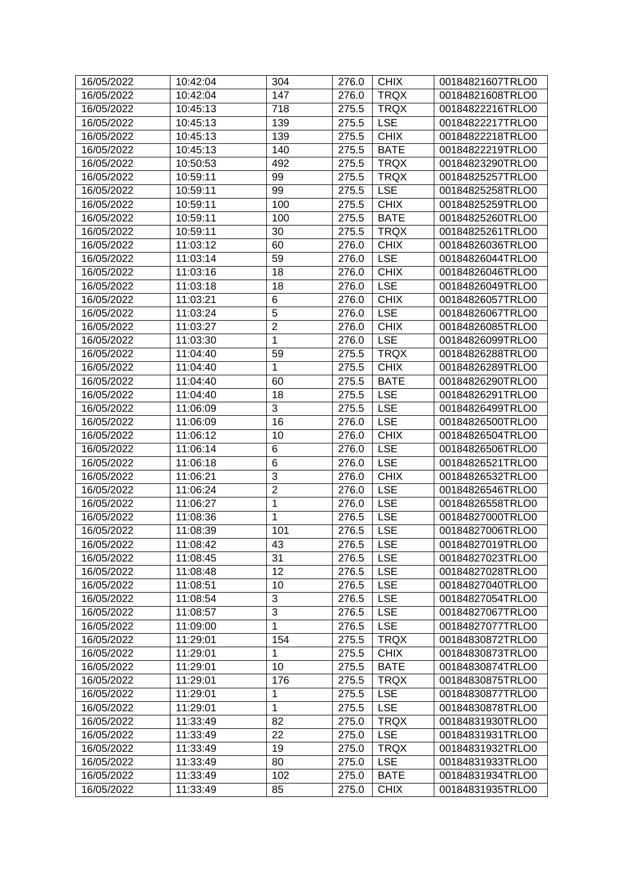| 16/05/2022               | 10:42:04 | 304            | 276.0          | <b>CHIX</b> | 00184821607TRLO0 |
|--------------------------|----------|----------------|----------------|-------------|------------------|
| 16/05/2022               | 10:42:04 | 147            | 276.0          | <b>TRQX</b> | 00184821608TRLO0 |
| 16/05/2022               | 10:45:13 | 718            | 275.5          | <b>TRQX</b> | 00184822216TRLO0 |
| 16/05/2022               | 10:45:13 | 139            | 275.5          | <b>LSE</b>  | 00184822217TRLO0 |
| 16/05/2022               | 10:45:13 | 139            | 275.5          | <b>CHIX</b> | 00184822218TRLO0 |
| 16/05/2022               | 10:45:13 | 140            | 275.5          | <b>BATE</b> | 00184822219TRLO0 |
| 16/05/2022               | 10:50:53 | 492            | 275.5          | <b>TRQX</b> | 00184823290TRLO0 |
| 16/05/2022               | 10:59:11 | 99             | 275.5          | <b>TRQX</b> | 00184825257TRLO0 |
| 16/05/2022               | 10:59:11 | 99             | 275.5          | <b>LSE</b>  | 00184825258TRLO0 |
| 16/05/2022               | 10:59:11 | 100            | 275.5          | <b>CHIX</b> | 00184825259TRLO0 |
| 16/05/2022               | 10:59:11 | 100            | 275.5          | <b>BATE</b> | 00184825260TRLO0 |
| 16/05/2022               | 10:59:11 | 30             | 275.5          | <b>TRQX</b> | 00184825261TRLO0 |
| 16/05/2022               | 11:03:12 | 60             | 276.0          | <b>CHIX</b> | 00184826036TRLO0 |
| 16/05/2022               | 11:03:14 | 59             | 276.0          | <b>LSE</b>  | 00184826044TRLO0 |
| 16/05/2022               | 11:03:16 | 18             | 276.0          | <b>CHIX</b> | 00184826046TRLO0 |
| 16/05/2022               | 11:03:18 | 18             | 276.0          | <b>LSE</b>  | 00184826049TRLO0 |
| 16/05/2022               | 11:03:21 | 6              | 276.0          | <b>CHIX</b> | 00184826057TRLO0 |
| 16/05/2022               | 11:03:24 | 5              | 276.0          | <b>LSE</b>  | 00184826067TRLO0 |
| 16/05/2022               | 11:03:27 | $\overline{2}$ | 276.0          | <b>CHIX</b> | 00184826085TRLO0 |
| 16/05/2022               | 11:03:30 | 1              | 276.0          | <b>LSE</b>  | 00184826099TRLO0 |
| 16/05/2022               | 11:04:40 | 59             | 275.5          | <b>TRQX</b> | 00184826288TRLO0 |
| 16/05/2022               | 11:04:40 | 1              | 275.5          | <b>CHIX</b> | 00184826289TRLO0 |
| 16/05/2022               | 11:04:40 | 60             | 275.5          | <b>BATE</b> | 00184826290TRLO0 |
| 16/05/2022               | 11:04:40 | 18             | 275.5          | <b>LSE</b>  | 00184826291TRLO0 |
| 16/05/2022               | 11:06:09 | 3              | 275.5          | <b>LSE</b>  | 00184826499TRLO0 |
| 16/05/2022               | 11:06:09 | 16             | 276.0          | <b>LSE</b>  | 00184826500TRLO0 |
| 16/05/2022               | 11:06:12 | 10             | 276.0          | <b>CHIX</b> | 00184826504TRLO0 |
| 16/05/2022               | 11:06:14 | $\,6$          | 276.0          | <b>LSE</b>  | 00184826506TRLO0 |
| 16/05/2022               | 11:06:18 | $\,6$          | 276.0          | <b>LSE</b>  | 00184826521TRLO0 |
| 16/05/2022               | 11:06:21 | $\sqrt{3}$     | 276.0          | <b>CHIX</b> | 00184826532TRLO0 |
| 16/05/2022               | 11:06:24 | $\overline{2}$ | 276.0          | <b>LSE</b>  | 00184826546TRLO0 |
| 16/05/2022               | 11:06:27 | 1              | 276.0          | <b>LSE</b>  | 00184826558TRLO0 |
| 16/05/2022               | 11:08:36 | $\mathbf{1}$   | 276.5          | <b>LSE</b>  | 00184827000TRLO0 |
| 16/05/2022               | 11:08:39 | 101            | 276.5          | <b>LSE</b>  | 00184827006TRLO0 |
| 16/05/2022               | 11:08:42 | 43             | $276.5$ LSE    |             | 00184827019TRLO0 |
| 16/05/2022               | 11:08:45 | 31             | 276.5          | <b>LSE</b>  | 00184827023TRLO0 |
| 16/05/2022               | 11:08:48 | 12             | 276.5          | <b>LSE</b>  | 00184827028TRLO0 |
| 16/05/2022               | 11:08:51 | 10             | 276.5          | <b>LSE</b>  | 00184827040TRLO0 |
| 16/05/2022               | 11:08:54 | 3              |                | <b>LSE</b>  | 00184827054TRLO0 |
|                          | 11:08:57 | 3              | 276.5<br>276.5 | <b>LSE</b>  | 00184827067TRLO0 |
| 16/05/2022<br>16/05/2022 |          | 1              |                |             |                  |
|                          | 11:09:00 |                | 276.5          | <b>LSE</b>  | 00184827077TRLO0 |
| 16/05/2022               | 11:29:01 | 154            | 275.5          | <b>TRQX</b> | 00184830872TRLO0 |
| 16/05/2022               | 11:29:01 | 1              | 275.5          | <b>CHIX</b> | 00184830873TRLO0 |
| 16/05/2022               | 11:29:01 | 10             | 275.5          | <b>BATE</b> | 00184830874TRLO0 |
| 16/05/2022               | 11:29:01 | 176            | 275.5          | <b>TRQX</b> | 00184830875TRLO0 |
| 16/05/2022               | 11:29:01 | 1              | 275.5          | <b>LSE</b>  | 00184830877TRLO0 |
| 16/05/2022               | 11:29:01 | $\mathbf{1}$   | 275.5          | <b>LSE</b>  | 00184830878TRLO0 |
| 16/05/2022               | 11:33:49 | 82             | 275.0          | <b>TRQX</b> | 00184831930TRLO0 |
| 16/05/2022               | 11:33:49 | 22             | 275.0          | <b>LSE</b>  | 00184831931TRLO0 |
| 16/05/2022               | 11:33:49 | 19             | 275.0          | <b>TRQX</b> | 00184831932TRLO0 |
| 16/05/2022               | 11:33:49 | 80             | 275.0          | <b>LSE</b>  | 00184831933TRLO0 |
| 16/05/2022               | 11:33:49 | 102            | 275.0          | <b>BATE</b> | 00184831934TRLO0 |
| 16/05/2022               | 11:33:49 | 85             | 275.0          | <b>CHIX</b> | 00184831935TRLO0 |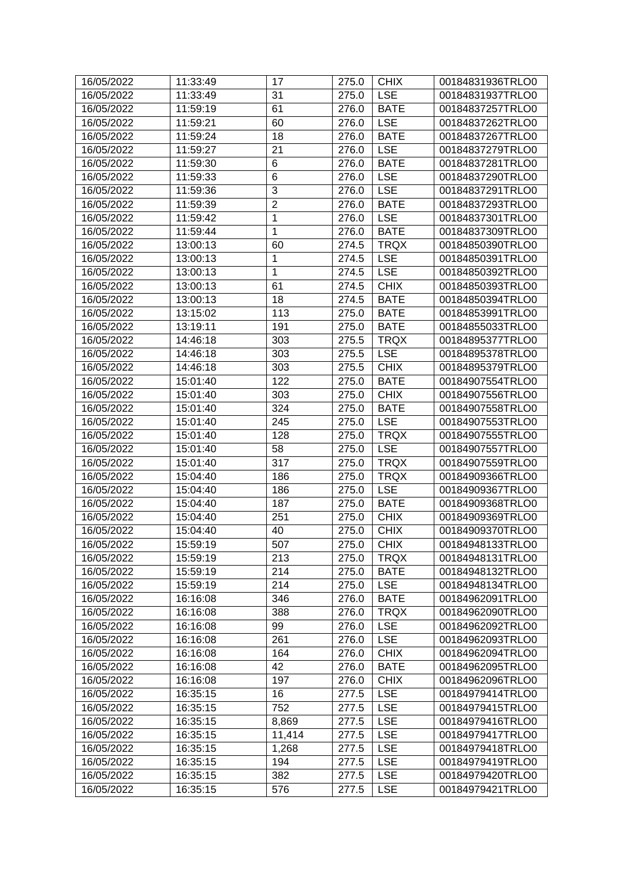| 16/05/2022 | 11:33:49 | 17             | 275.0 | <b>CHIX</b> | 00184831936TRLO0 |
|------------|----------|----------------|-------|-------------|------------------|
| 16/05/2022 | 11:33:49 | 31             | 275.0 | <b>LSE</b>  | 00184831937TRLO0 |
| 16/05/2022 | 11:59:19 | 61             | 276.0 | <b>BATE</b> | 00184837257TRLO0 |
| 16/05/2022 | 11:59:21 | 60             | 276.0 | <b>LSE</b>  | 00184837262TRLO0 |
| 16/05/2022 | 11:59:24 | 18             | 276.0 | <b>BATE</b> | 00184837267TRLO0 |
| 16/05/2022 | 11:59:27 | 21             | 276.0 | <b>LSE</b>  | 00184837279TRLO0 |
| 16/05/2022 | 11:59:30 | $\,6$          | 276.0 | <b>BATE</b> | 00184837281TRLO0 |
| 16/05/2022 | 11:59:33 | 6              | 276.0 | <b>LSE</b>  | 00184837290TRLO0 |
| 16/05/2022 | 11:59:36 | 3              | 276.0 | <b>LSE</b>  | 00184837291TRLO0 |
| 16/05/2022 | 11:59:39 | $\overline{2}$ | 276.0 | <b>BATE</b> | 00184837293TRLO0 |
| 16/05/2022 | 11:59:42 | 1              | 276.0 | <b>LSE</b>  | 00184837301TRLO0 |
| 16/05/2022 | 11:59:44 | 1              | 276.0 | <b>BATE</b> | 00184837309TRLO0 |
| 16/05/2022 | 13:00:13 | 60             | 274.5 | <b>TRQX</b> | 00184850390TRLO0 |
| 16/05/2022 | 13:00:13 | 1              | 274.5 | <b>LSE</b>  | 00184850391TRLO0 |
| 16/05/2022 | 13:00:13 | $\mathbf{1}$   | 274.5 | <b>LSE</b>  | 00184850392TRLO0 |
| 16/05/2022 | 13:00:13 | 61             | 274.5 | <b>CHIX</b> | 00184850393TRLO0 |
| 16/05/2022 | 13:00:13 | 18             | 274.5 | <b>BATE</b> | 00184850394TRLO0 |
| 16/05/2022 | 13:15:02 | 113            | 275.0 | <b>BATE</b> | 00184853991TRLO0 |
| 16/05/2022 | 13:19:11 | 191            | 275.0 | <b>BATE</b> | 00184855033TRLO0 |
| 16/05/2022 | 14:46:18 | 303            | 275.5 | <b>TRQX</b> | 00184895377TRLO0 |
| 16/05/2022 | 14:46:18 | 303            | 275.5 | <b>LSE</b>  | 00184895378TRLO0 |
| 16/05/2022 | 14:46:18 | 303            | 275.5 | <b>CHIX</b> | 00184895379TRLO0 |
| 16/05/2022 | 15:01:40 | 122            | 275.0 | <b>BATE</b> | 00184907554TRLO0 |
| 16/05/2022 | 15:01:40 | 303            | 275.0 | <b>CHIX</b> | 00184907556TRLO0 |
| 16/05/2022 | 15:01:40 | 324            | 275.0 | <b>BATE</b> | 00184907558TRLO0 |
| 16/05/2022 | 15:01:40 | 245            | 275.0 | <b>LSE</b>  | 00184907553TRLO0 |
| 16/05/2022 | 15:01:40 | 128            | 275.0 | <b>TRQX</b> | 00184907555TRLO0 |
| 16/05/2022 | 15:01:40 | 58             | 275.0 | <b>LSE</b>  | 00184907557TRLO0 |
| 16/05/2022 | 15:01:40 | 317            | 275.0 | <b>TRQX</b> | 00184907559TRLO0 |
| 16/05/2022 | 15:04:40 | 186            | 275.0 | <b>TRQX</b> | 00184909366TRLO0 |
| 16/05/2022 | 15:04:40 | 186            | 275.0 | <b>LSE</b>  | 00184909367TRLO0 |
| 16/05/2022 | 15:04:40 | 187            | 275.0 | <b>BATE</b> | 00184909368TRLO0 |
| 16/05/2022 | 15:04:40 | 251            | 275.0 | <b>CHIX</b> | 00184909369TRLO0 |
| 16/05/2022 | 15:04:40 | 40             | 275.0 | <b>CHIX</b> | 00184909370TRLO0 |
| 16/05/2022 | 15:59:19 | 507            | 275.0 | <b>CHIX</b> | 00184948133TRLO0 |
| 16/05/2022 | 15:59:19 | 213            | 275.0 | <b>TRQX</b> | 00184948131TRLO0 |
| 16/05/2022 | 15:59:19 | 214            | 275.0 | <b>BATE</b> | 00184948132TRLO0 |
| 16/05/2022 | 15:59:19 | 214            | 275.0 | <b>LSE</b>  | 00184948134TRLO0 |
| 16/05/2022 | 16:16:08 | 346            | 276.0 | <b>BATE</b> | 00184962091TRLO0 |
| 16/05/2022 | 16:16:08 | 388            | 276.0 | <b>TRQX</b> | 00184962090TRLO0 |
| 16/05/2022 | 16:16:08 | 99             | 276.0 | <b>LSE</b>  | 00184962092TRLO0 |
| 16/05/2022 | 16:16:08 | 261            | 276.0 | <b>LSE</b>  | 00184962093TRLO0 |
| 16/05/2022 | 16:16:08 | 164            | 276.0 | <b>CHIX</b> | 00184962094TRLO0 |
| 16/05/2022 | 16:16:08 | 42             | 276.0 | <b>BATE</b> | 00184962095TRLO0 |
| 16/05/2022 | 16:16:08 | 197            | 276.0 | <b>CHIX</b> | 00184962096TRLO0 |
| 16/05/2022 | 16:35:15 | 16             | 277.5 | <b>LSE</b>  | 00184979414TRLO0 |
| 16/05/2022 | 16:35:15 | 752            | 277.5 | <b>LSE</b>  | 00184979415TRLO0 |
| 16/05/2022 | 16:35:15 | 8,869          | 277.5 | <b>LSE</b>  | 00184979416TRLO0 |
| 16/05/2022 | 16:35:15 | 11,414         | 277.5 | <b>LSE</b>  | 00184979417TRLO0 |
| 16/05/2022 | 16:35:15 | 1,268          | 277.5 | <b>LSE</b>  | 00184979418TRLO0 |
| 16/05/2022 | 16:35:15 | 194            | 277.5 | <b>LSE</b>  | 00184979419TRLO0 |
| 16/05/2022 | 16:35:15 | 382            | 277.5 | <b>LSE</b>  | 00184979420TRLO0 |
| 16/05/2022 | 16:35:15 | 576            | 277.5 | <b>LSE</b>  | 00184979421TRLO0 |